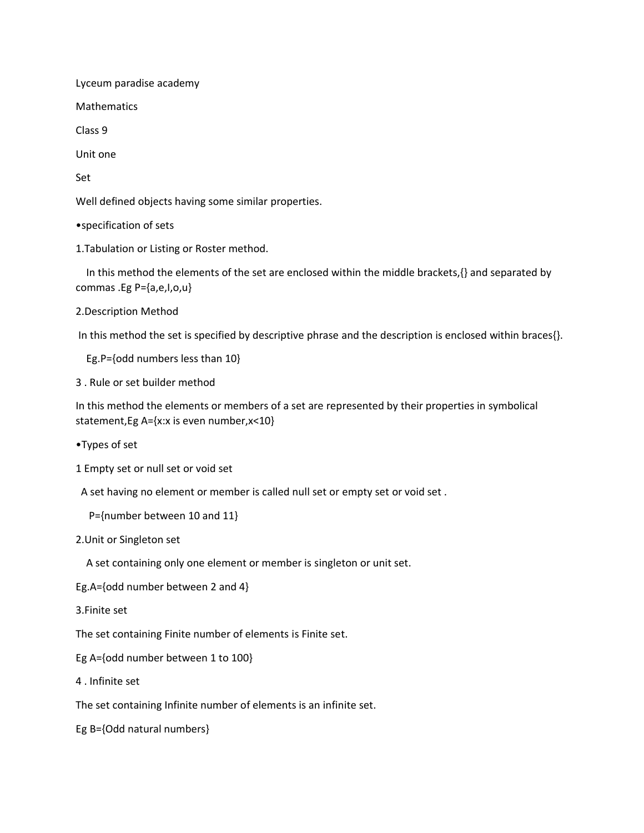Lyceum paradise academy

**Mathematics** 

Class 9

Unit one

Set

Well defined objects having some similar properties.

•specification of sets

1.Tabulation or Listing or Roster method.

 In this method the elements of the set are enclosed within the middle brackets,{} and separated by commas .Eg P={a,e,I,o,u}

2.Description Method

In this method the set is specified by descriptive phrase and the description is enclosed within braces{}.

Eg.P={odd numbers less than 10}

3 . Rule or set builder method

In this method the elements or members of a set are represented by their properties in symbolical statement,Eg A={x:x is even number,x<10}

•Types of set

1 Empty set or null set or void set

A set having no element or member is called null set or empty set or void set .

P={number between 10 and 11}

2.Unit or Singleton set

A set containing only one element or member is singleton or unit set.

Eg.A={odd number between 2 and 4}

3.Finite set

The set containing Finite number of elements is Finite set.

Eg A={odd number between 1 to 100}

4 . Infinite set

The set containing Infinite number of elements is an infinite set.

Eg B={Odd natural numbers}